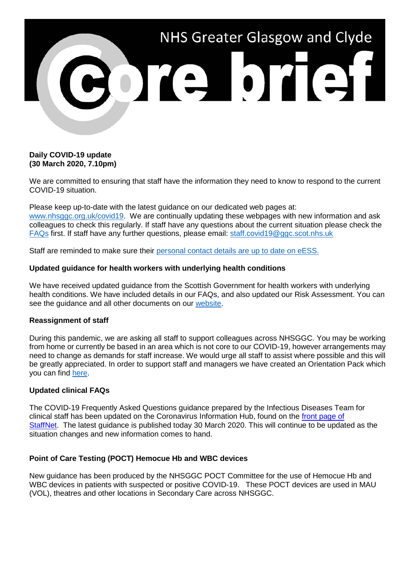

# **Daily COVID-19 update (30 March 2020, 7.10pm)**

We are committed to ensuring that staff have the information they need to know to respond to the current COVID-19 situation.

Please keep up-to-date with the latest guidance on our dedicated web pages at: [www.nhsggc.org.uk/covid19.](http://www.nhsggc.org.uk/covid19) We are continually updating these webpages with new information and ask colleagues to check this regularly. If staff have any questions about the current situation please check the [FAQs](https://www.nhsggc.org.uk/your-health/health-issues/covid-19-coronavirus/for-nhsggc-staff/faqs/) first. If staff have any further questions, please email: [staff.covid19@ggc.scot.nhs.uk](mailto:staff.covid19@ggc.scot.nhs.uk)

Staff are reminded to make sure their [personal contact details are up to date on eESS.](https://www.eess.nhs.scot/ess/)

# **Updated guidance for health workers with underlying health conditions**

We have received updated guidance from the Scottish Government for health workers with underlying health conditions. We have included details in our FAQs, and also updated our Risk Assessment. You can see the guidance and all other documents on our [website.](https://www.nhsggc.org.uk/your-health/health-issues/covid-19-coronavirus/for-nhsggc-staff/)

## **Reassignment of staff**

During this pandemic, we are asking all staff to support colleagues across NHSGGC. You may be working from home or currently be based in an area which is not core to our COVID-19, however arrangements may need to change as demands for staff increase. We would urge all staff to assist where possible and this will be greatly appreciated. In order to support staff and managers we have created an Orientation Pack which you can find [here.](https://www.nhsggc.org.uk/your-health/health-issues/covid-19-coronavirus/for-nhsggc-staff/general-staff-guidance/)

# **Updated clinical FAQs**

The COVID-19 Frequently Asked Questions guidance prepared by the Infectious Diseases Team for clinical staff has been updated on the Coronavirus Information Hub, found on the [front page of](http://www.staffnet.ggc.scot.nhs.uk/Corporate%20Services/Communications/Hot%20Topics/Pages/comms_CoronavirusInformationHub_mb110220.aspx)  [StaffNet.](http://www.staffnet.ggc.scot.nhs.uk/Corporate%20Services/Communications/Hot%20Topics/Pages/comms_CoronavirusInformationHub_mb110220.aspx) The latest guidance is published today 30 March 2020. This will continue to be updated as the situation changes and new information comes to hand.

# **Point of Care Testing (POCT) Hemocue Hb and WBC devices**

New guidance has been produced by the NHSGGC POCT Committee for the use of Hemocue Hb and WBC devices in patients with suspected or positive COVID-19. These POCT devices are used in MAU (VOL), theatres and other locations in Secondary Care across NHSGGC.